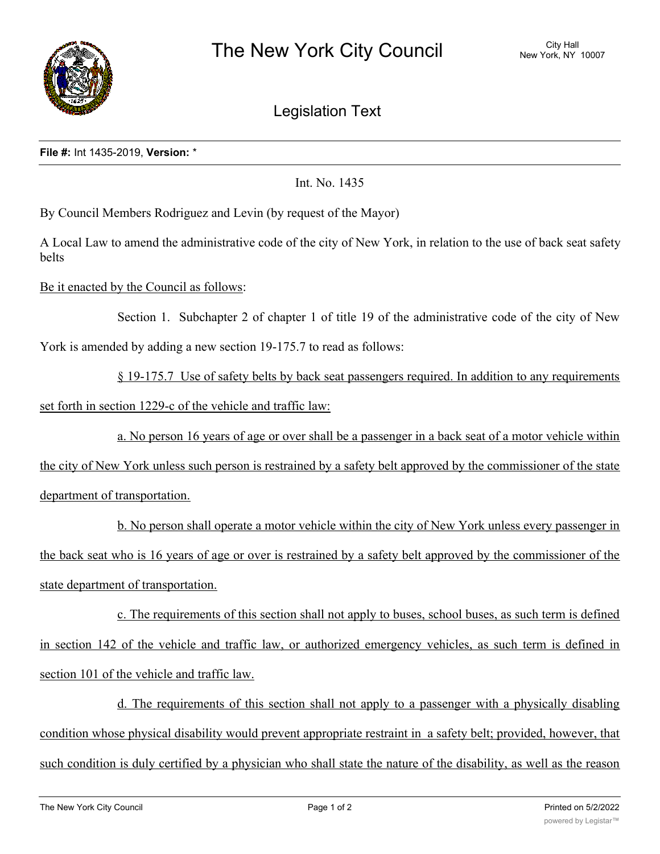

Legislation Text

## **File #:** Int 1435-2019, **Version:** \*

Int. No. 1435

By Council Members Rodriguez and Levin (by request of the Mayor)

A Local Law to amend the administrative code of the city of New York, in relation to the use of back seat safety belts

Be it enacted by the Council as follows:

Section 1. Subchapter 2 of chapter 1 of title 19 of the administrative code of the city of New York is amended by adding a new section 19-175.7 to read as follows:

§ 19-175.7 Use of safety belts by back seat passengers required. In addition to any requirements set forth in section 1229-c of the vehicle and traffic law:

a. No person 16 years of age or over shall be a passenger in a back seat of a motor vehicle within

the city of New York unless such person is restrained by a safety belt approved by the commissioner of the state department of transportation.

b. No person shall operate a motor vehicle within the city of New York unless every passenger in the back seat who is 16 years of age or over is restrained by a safety belt approved by the commissioner of the state department of transportation.

c. The requirements of this section shall not apply to buses, school buses, as such term is defined in section 142 of the vehicle and traffic law, or authorized emergency vehicles, as such term is defined in section 101 of the vehicle and traffic law.

d. The requirements of this section shall not apply to a passenger with a physically disabling condition whose physical disability would prevent appropriate restraint in a safety belt; provided, however, that such condition is duly certified by a physician who shall state the nature of the disability, as well as the reason